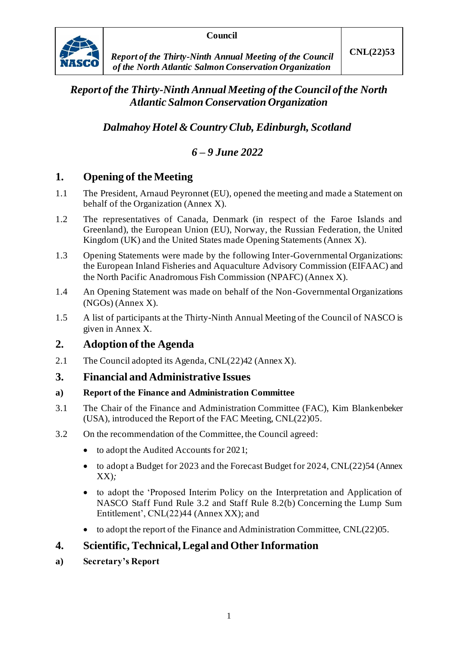

# *Report of the Thirty-Ninth Annual Meeting of the Council of the North Atlantic Salmon Conservation Organization*

*Dalmahoy Hotel & Country Club, Edinburgh, Scotland*

*6 – 9 June 2022*

# **1. Opening of the Meeting**

- 1.1 The President, Arnaud Peyronnet (EU), opened the meeting and made a Statement on behalf of the Organization (Annex X).
- 1.2 The representatives of Canada, Denmark (in respect of the Faroe Islands and Greenland), the European Union (EU), Norway, the Russian Federation, the United Kingdom (UK) and the United States made Opening Statements (Annex X).
- 1.3 Opening Statements were made by the following Inter-Governmental Organizations: the European Inland Fisheries and Aquaculture Advisory Commission (EIFAAC) and the North Pacific Anadromous Fish Commission (NPAFC) (Annex X).
- 1.4 An Opening Statement was made on behalf of the Non-Governmental Organizations (NGOs) (Annex X).
- 1.5 A list of participants at the Thirty-Ninth Annual Meeting of the Council of NASCO is given in Annex X.

## **2. Adoption of the Agenda**

- 2.1 The Council adopted its Agenda, CNL(22)42 (Annex X).
- **3. Financial and Administrative Issues**

#### **a) Report of the Finance and Administration Committee**

- 3.1 The Chair of the Finance and Administration Committee (FAC), Kim Blankenbeker (USA), introduced the Report of the FAC Meeting, CNL(22)05.
- 3.2 On the recommendation of the Committee, the Council agreed:
	- to adopt the Audited Accounts for 2021;
	- to adopt a Budget for 2023 and the Forecast Budget for 2024, CNL(22)54 (Annex XX)*;*
	- to adopt the 'Proposed Interim Policy on the Interpretation and Application of NASCO Staff Fund Rule 3.2 and Staff Rule 8.2(b) Concerning the Lump Sum Entitlement', CNL(22)44 (Annex XX); and
	- to adopt the report of the Finance and Administration Committee, CNL(22)05.

## **4. Scientific, Technical, Legal and Other Information**

**a) Secretary's Report**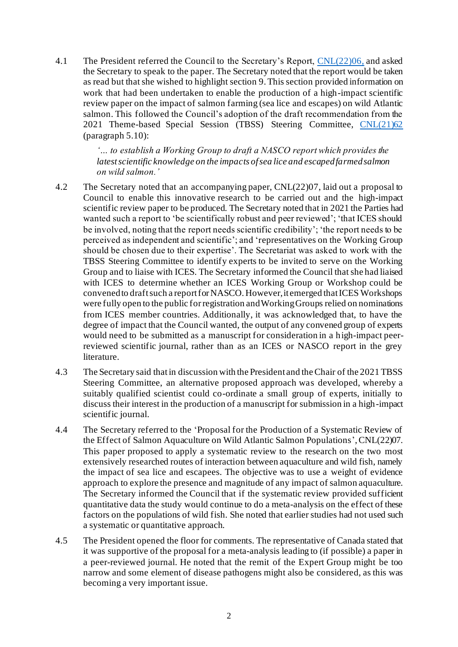4.1 The President referred the Council to the Secretary's Report, [CNL\(22\)06](https://nasco.int/wp-content/uploads/2022/04/CNL2206_Secretarys-Report.pdf), and asked the Secretary to speak to the paper. The Secretary noted that the report would be taken as read but that she wished to highlight section 9. This section provided information on work that had been undertaken to enable the production of a high-impact scientific review paper on the impact of salmon farming (sea lice and escapes) on wild Atlantic salmon. This followed the Council's adoption of the draft recommendation from the 2021 Theme-based Special Session (TBSS) Steering Committee, [CNL\(21\)62](https://nasco.int/wp-content/uploads/2021/09/CNL2162_Report-of-the-Thirty-Eighth-Annual-Meeting-of-the-Council.pdf) (paragraph 5.10):

> *'… to establish a Working Group to draft a NASCO report which provides the latest scientific knowledge on the impacts of sea lice and escaped farmed salmon on wild salmon.'*

- 4.2 The Secretary noted that an accompanying paper, CNL(22)07, laid out a proposal to Council to enable this innovative research to be carried out and the high-impact scientific review paper to be produced. The Secretary noted that in 2021 the Parties had wanted such a report to 'be scientifically robust and peer reviewed'; 'that ICES should be involved, noting that the report needs scientific credibility'; 'the report needs to be perceived as independent and scientific'; and 'representatives on the Working Group should be chosen due to their expertise'. The Secretariat was asked to work with the TBSS Steering Committee to identify experts to be invited to serve on the Working Group and to liaise with ICES. The Secretary informed the Council that she had liaised with ICES to determine whether an ICES Working Group or Workshop could be convened to draft such a report for NASCO. However, it emerged that ICES Workshops were fully open to the public for registration and Working Groups relied on nominations from ICES member countries. Additionally, it was acknowledged that, to have the degree of impact that the Council wanted, the output of any convened group of experts would need to be submitted as a manuscript for consideration in a high-impact peerreviewed scientific journal, rather than as an ICES or NASCO report in the grey literature.
- 4.3 The Secretary said that in discussion with the President and the Chair of the 2021 TBSS Steering Committee, an alternative proposed approach was developed, whereby a suitably qualified scientist could co-ordinate a small group of experts, initially to discuss their interest in the production of a manuscript for submission in a high-impact scientific journal.
- 4.4 The Secretary referred to the 'Proposal for the Production of a Systematic Review of the Effect of Salmon Aquaculture on Wild Atlantic Salmon Populations',CNL(22)07. This paper proposed to apply a systematic review to the research on the two most extensively researched routes of interaction between aquaculture and wild fish, namely the impact of sea lice and escapees. The objective was to use a weight of evidence approach to explore the presence and magnitude of any impact of salmon aquaculture. The Secretary informed the Council that if the systematic review provided sufficient quantitative data the study would continue to do a meta-analysis on the effect of these factors on the populations of wild fish. She noted that earlier studies had not used such a systematic or quantitative approach.
- 4.5 The President opened the floor for comments. The representative of Canada stated that it was supportive of the proposal for a meta-analysis leading to (if possible) a paper in a peer-reviewed journal. He noted that the remit of the Expert Group might be too narrow and some element of disease pathogens might also be considered, as this was becoming a very important issue.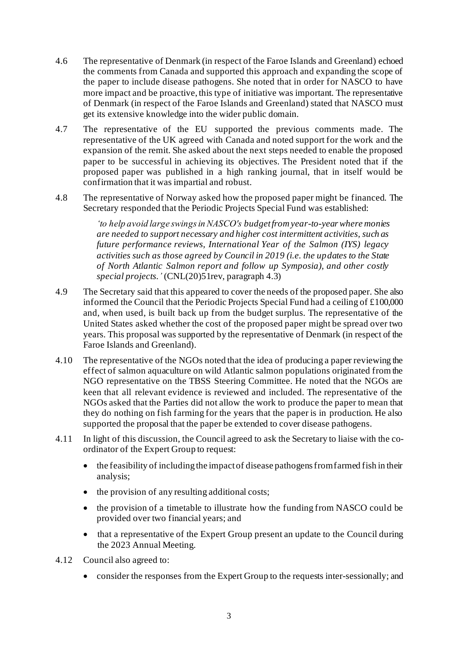- 4.6 The representative of Denmark (in respect of the Faroe Islands and Greenland) echoed the comments from Canada and supported this approach and expanding the scope of the paper to include disease pathogens. She noted that in order for NASCO to have more impact and be proactive, this type of initiative was important. The representative of Denmark (in respect of the Faroe Islands and Greenland) stated that NASCO must get its extensive knowledge into the wider public domain.
- 4.7 The representative of the EU supported the previous comments made. The representative of the UK agreed with Canada and noted support for the work and the expansion of the remit. She asked about the next steps needed to enable the proposed paper to be successful in achieving its objectives. The President noted that if the proposed paper was published in a high ranking journal, that in itself would be confirmation that it was impartial and robust.
- 4.8 The representative of Norway asked how the proposed paper might be financed. The Secretary responded that the Periodic Projects Special Fund was established:

*'to help avoid large swings in NASCO's budget from year-to-year where monies are needed to support necessary and higher cost intermittent activities, such as future performance reviews, International Year of the Salmon (IYS) legacy activities such as those agreed by Council in 2019 (i.e. the updates to the State of North Atlantic Salmon report and follow up Symposia), and other costly special projects.'* (CNL(20)51rev, paragraph 4.3)

- 4.9 The Secretary said that this appeared to cover the needs of the proposed paper. She also informed the Council that the Periodic Projects Special Fund had a ceiling of £100,000 and, when used, is built back up from the budget surplus. The representative of the United States asked whether the cost of the proposed paper might be spread over two years. This proposal was supported by the representative of Denmark (in respect of the Faroe Islands and Greenland).
- 4.10 The representative of the NGOs noted that the idea of producing a paper reviewing the effect of salmon aquaculture on wild Atlantic salmon populations originated from the NGO representative on the TBSS Steering Committee. He noted that the NGOs are keen that all relevant evidence is reviewed and included. The representative of the NGOs asked that the Parties did not allow the work to produce the paper to mean that they do nothing on fish farming for the years that the paper is in production. He also supported the proposal that the paper be extended to cover disease pathogens.
- 4.11 In light of this discussion, the Council agreed to ask the Secretary to liaise with the coordinator of the Expert Group to request:
	- the feasibility of including the impact of disease pathogens from farmed fish in their analysis;
	- the provision of any resulting additional costs;
	- the provision of a timetable to illustrate how the funding from NASCO could be provided over two financial years; and
	- that a representative of the Expert Group present an update to the Council during the 2023 Annual Meeting.
- 4.12 Council also agreed to:
	- consider the responses from the Expert Group to the requests inter-sessionally; and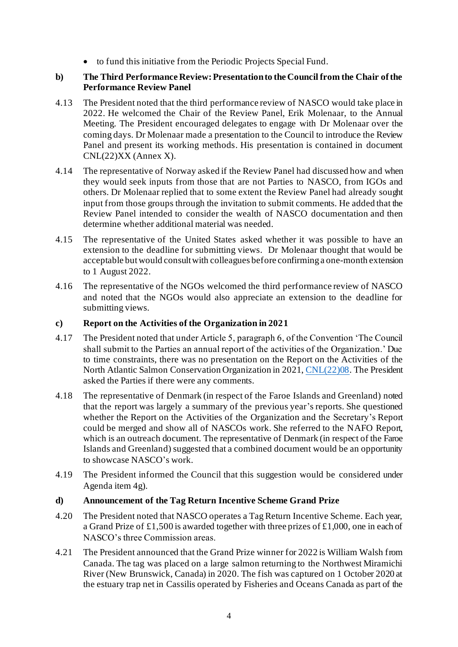• to fund this initiative from the Periodic Projects Special Fund.

#### **b) The Third Performance Review: Presentation to the Council from the Chair of the Performance Review Panel**

- 4.13 The President noted that the third performance review of NASCO would take place in 2022. He welcomed the Chair of the Review Panel, Erik Molenaar, to the Annual Meeting. The President encouraged delegates to engage with Dr Molenaar over the coming days. Dr Molenaar made a presentation to the Council to introduce the Review Panel and present its working methods. His presentation is contained in document CNL(22)XX (Annex X).
- 4.14 The representative of Norway asked if the Review Panel had discussed how and when they would seek inputs from those that are not Parties to NASCO, from IGOs and others. Dr Molenaar replied that to some extent the Review Panel had already sought input from those groups through the invitation to submit comments. He added that the Review Panel intended to consider the wealth of NASCO documentation and then determine whether additional material was needed.
- 4.15 The representative of the United States asked whether it was possible to have an extension to the deadline for submitting views. Dr Molenaar thought that would be acceptable but would consult with colleagues before confirming a one-month extension to 1 August 2022.
- 4.16 The representative of the NGOs welcomed the third performance review of NASCO and noted that the NGOs would also appreciate an extension to the deadline for submitting views.

#### **c) Report on the Activities of the Organization in 2021**

- 4.17 The President noted that under Article 5, paragraph 6, of the Convention 'The Council shall submit to the Parties an annual report of the activities of the Organization.' Due to time constraints, there was no presentation on the Report on the Activities of the North Atlantic Salmon Conservation Organization in 2021[, CNL\(22\)08](https://nasco.int/wp-content/uploads/2022/04/CNL2208_Report-on-the-Activities-of-the-North-Atlantic-Salmon-Conservation-Organization-in-2021.pdf). The President asked the Parties if there were any comments.
- 4.18 The representative of Denmark (in respect of the Faroe Islands and Greenland) noted that the report was largely a summary of the previous year's reports. She questioned whether the Report on the Activities of the Organization and the Secretary's Report could be merged and show all of NASCOs work. She referred to the NAFO Report, which is an outreach document. The representative of Denmark (in respect of the Faroe Islands and Greenland) suggested that a combined document would be an opportunity to showcase NASCO's work.
- 4.19 The President informed the Council that this suggestion would be considered under Agenda item 4g).

#### **d) Announcement of the Tag Return Incentive Scheme Grand Prize**

- 4.20 The President noted that NASCO operates a Tag Return Incentive Scheme. Each year, a Grand Prize of £1,500 is awarded together with three prizes of £1,000, one in each of NASCO's three Commission areas.
- 4.21 The President announced that the Grand Prize winner for 2022 is William Walsh from Canada. The tag was placed on a large salmon returning to the Northwest Miramichi River (New Brunswick, Canada) in 2020. The fish was captured on 1 October 2020 at the estuary trap net in Cassilis operated by Fisheries and Oceans Canada as part of the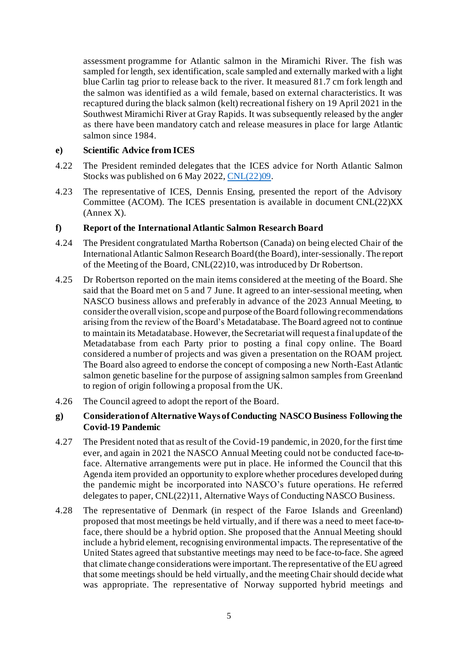assessment programme for Atlantic salmon in the Miramichi River. The fish was sampled for length, sex identification, scale sampled and externally marked with a light blue Carlin tag prior to release back to the river. It measured 81.7 cm fork length and the salmon was identified as a wild female, based on external characteristics. It was recaptured during the black salmon (kelt) recreational fishery on 19 April 2021 in the Southwest Miramichi River at Gray Rapids. It was subsequently released by the angler as there have been mandatory catch and release measures in place for large Atlantic salmon since 1984.

#### **e) Scientific Advice from ICES**

- 4.22 The President reminded delegates that the ICES advice for North Atlantic Salmon Stocks was published on 6 May 2022[, CNL\(22\)09](https://nasco.int/wp-content/uploads/2022/05/CNL2209_ICES-Advice.pdf).
- 4.23 The representative of ICES, Dennis Ensing, presented the report of the Advisory Committee (ACOM). The ICES presentation is available in document CNL(22)XX (Annex X).

#### **f) Report of the International Atlantic Salmon Research Board**

- 4.24 The President congratulated Martha Robertson (Canada) on being elected Chair of the International Atlantic Salmon Research Board (the Board), inter-sessionally. The report of the Meeting of the Board, CNL(22)10, was introduced by Dr Robertson.
- 4.25 Dr Robertson reported on the main items considered at the meeting of the Board. She said that the Board met on 5 and 7 June. It agreed to an inter-sessional meeting, when NASCO business allows and preferably in advance of the 2023 Annual Meeting, to consider the overall vision, scope and purpose of the Board following recommendations arising from the review of the Board's Metadatabase. The Board agreed not to continue to maintain its Metadatabase. However, the Secretariat will request a final update of the Metadatabase from each Party prior to posting a final copy online. The Board considered a number of projects and was given a presentation on the ROAM project. The Board also agreed to endorse the concept of composing a new North-East Atlantic salmon genetic baseline for the purpose of assigning salmon samples from Greenland to region of origin following a proposal from the UK.
- 4.26 The Council agreed to adopt the report of the Board.

#### **g) Consideration of Alternative Ways of Conducting NASCO Business Following the Covid-19 Pandemic**

- 4.27 The President noted that as result of the Covid-19 pandemic, in 2020, for the first time ever, and again in 2021 the NASCO Annual Meeting could not be conducted face-toface. Alternative arrangements were put in place. He informed the Council that this Agenda item provided an opportunity to explore whether procedures developed during the pandemic might be incorporated into NASCO's future operations. He referred delegates to paper, CNL(22)11, Alternative Ways of Conducting NASCO Business.
- 4.28 The representative of Denmark (in respect of the Faroe Islands and Greenland) proposed that most meetings be held virtually, and if there was a need to meet face-toface, there should be a hybrid option. She proposed that the Annual Meeting should include a hybrid element, recognising environmental impacts. The representative of the United States agreed that substantive meetings may need to be face-to-face. She agreed that climate change considerations were important. The representative of the EU agreed that some meetings should be held virtually, and the meeting Chair should decide what was appropriate. The representative of Norway supported hybrid meetings and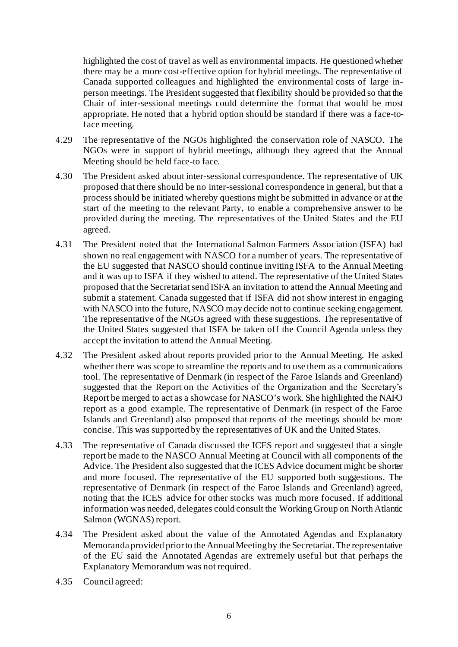highlighted the cost of travel as well as environmental impacts. He questioned whether there may be a more cost-effective option for hybrid meetings. The representative of Canada supported colleagues and highlighted the environmental costs of large inperson meetings. The President suggested that flexibility should be provided so that the Chair of inter-sessional meetings could determine the format that would be most appropriate. He noted that a hybrid option should be standard if there was a face-toface meeting.

- 4.29 The representative of the NGOs highlighted the conservation role of NASCO. The NGOs were in support of hybrid meetings, although they agreed that the Annual Meeting should be held face-to face.
- 4.30 The President asked about inter-sessional correspondence. The representative of UK proposed that there should be no inter-sessional correspondence in general, but that a process should be initiated whereby questions might be submitted in advance or at the start of the meeting to the relevant Party, to enable a comprehensive answer to be provided during the meeting. The representatives of the United States and the EU agreed.
- 4.31 The President noted that the International Salmon Farmers Association (ISFA) had shown no real engagement with NASCO for a number of years. The representative of the EU suggested that NASCO should continue inviting ISFA to the Annual Meeting and it was up to ISFA if they wished to attend. The representative of the United States proposed that the Secretariat send ISFA an invitation to attend the Annual Meeting and submit a statement. Canada suggested that if ISFA did not show interest in engaging with NASCO into the future, NASCO may decide not to continue seeking engagement. The representative of the NGOs agreed with these suggestions. The representative of the United States suggested that ISFA be taken off the Council Agenda unless they accept the invitation to attend the Annual Meeting.
- 4.32 The President asked about reports provided prior to the Annual Meeting. He asked whether there was scope to streamline the reports and to use them as a communications tool. The representative of Denmark (in respect of the Faroe Islands and Greenland) suggested that the Report on the Activities of the Organization and the Secretary's Report be merged to act as a showcase for NASCO's work. She highlighted the NAFO report as a good example. The representative of Denmark (in respect of the Faroe Islands and Greenland) also proposed that reports of the meetings should be more concise. This was supported by the representatives of UK and the United States.
- 4.33 The representative of Canada discussed the ICES report and suggested that a single report be made to the NASCO Annual Meeting at Council with all components of the Advice. The President also suggested that the ICES Advice document might be shorter and more focused. The representative of the EU supported both suggestions. The representative of Denmark (in respect of the Faroe Islands and Greenland) agreed, noting that the ICES advice for other stocks was much more focused. If additional information was needed, delegates could consult the Working Group on North Atlantic Salmon (WGNAS) report.
- 4.34 The President asked about the value of the Annotated Agendas and Explanatory Memoranda provided prior to the Annual Meeting by the Secretariat. The representative of the EU said the Annotated Agendas are extremely useful but that perhaps the Explanatory Memorandum was not required.
- 4.35 Council agreed: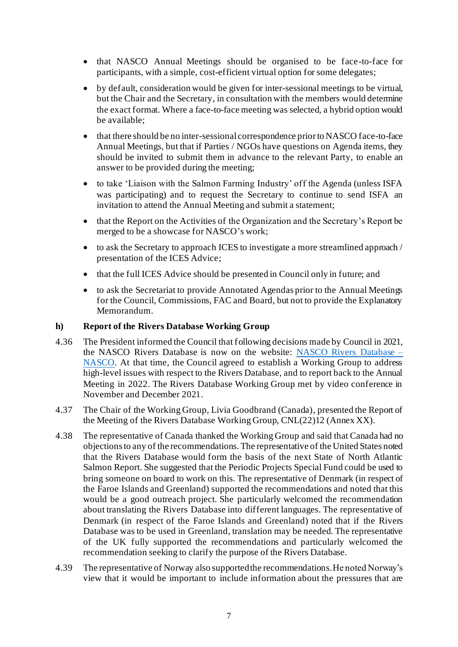- that NASCO Annual Meetings should be organised to be face-to-face for participants, with a simple, cost-efficient virtual option for some delegates;
- by default, consideration would be given for inter-sessional meetings to be virtual, but the Chair and the Secretary, in consultation with the members would determine the exact format. Where a face-to-face meeting was selected, a hybrid option would be available;
- that there should be no inter-sessional correspondence prior to NASCO face-to-face Annual Meetings, but that if Parties / NGOs have questions on Agenda items, they should be invited to submit them in advance to the relevant Party, to enable an answer to be provided during the meeting;
- to take 'Liaison with the Salmon Farming Industry' off the Agenda (unless ISFA was participating) and to request the Secretary to continue to send ISFA an invitation to attend the Annual Meeting and submit a statement;
- that the Report on the Activities of the Organization and the Secretary's Report be merged to be a showcase for NASCO's work;
- to ask the Secretary to approach ICES to investigate a more streamlined approach / presentation of the ICES Advice;
- that the full ICES Advice should be presented in Council only in future; and
- to ask the Secretariat to provide Annotated Agendas prior to the Annual Meetings for the Council, Commissions, FAC and Board, but not to provide the Explanatory Memorandum.

#### **h) Report of the Rivers Database Working Group**

- 4.36 The President informed the Council that following decisions made by Council in 2021, the NASCO Rivers Database is now on the website: [NASCO Rivers Database –](https://nasco.int/about-nascos-rivers-database/) [NASCO.](https://nasco.int/about-nascos-rivers-database/) At that time, the Council agreed to establish a Working Group to address high-level issues with respect to the Rivers Database, and to report back to the Annual Meeting in 2022. The Rivers Database Working Group met by video conference in November and December 2021.
- 4.37 The Chair of the Working Group, Livia Goodbrand (Canada), presented the Report of the Meeting of the Rivers Database Working Group, CNL(22)12 (Annex XX).
- 4.38 The representative of Canada thanked the Working Group and said that Canada had no objections to any of the recommendations. The representative of the United States noted that the Rivers Database would form the basis of the next State of North Atlantic Salmon Report. She suggested that the Periodic Projects Special Fund could be used to bring someone on board to work on this. The representative of Denmark (in respect of the Faroe Islands and Greenland) supported the recommendations and noted that this would be a good outreach project. She particularly welcomed the recommendation about translating the Rivers Database into different languages. The representative of Denmark (in respect of the Faroe Islands and Greenland) noted that if the Rivers Database was to be used in Greenland, translation may be needed. The representative of the UK fully supported the recommendations and particularly welcomed the recommendation seeking to clarify the purpose of the Rivers Database.
- 4.39 The representative of Norway also supported the recommendations. He noted Norway's view that it would be important to include information about the pressures that are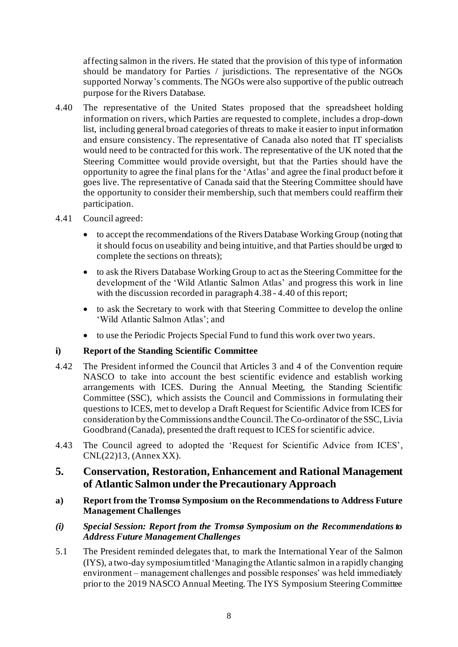affecting salmon in the rivers. He stated that the provision of this type of information should be mandatory for Parties / jurisdictions. The representative of the NGOs supported Norway's comments. The NGOs were also supportive of the public outreach purpose for the Rivers Database.

- 4.40 The representative of the United States proposed that the spreadsheet holding information on rivers, which Parties are requested to complete, includes a drop-down list, including general broad categories of threats to make it easier to input information and ensure consistency. The representative of Canada also noted that IT specialists would need to be contracted for this work. The representative of the UK noted that the Steering Committee would provide oversight, but that the Parties should have the opportunity to agree the final plans for the 'Atlas' and agree the final product before it goes live. The representative of Canada said that the Steering Committee should have the opportunity to consider their membership, such that members could reaffirm their participation.
- 4.41 Council agreed:
	- to accept the recommendations of the Rivers Database Working Group (noting that it should focus on useability and being intuitive, and that Parties should be urged to complete the sections on threats);
	- to ask the Rivers Database Working Group to act as the Steering Committee for the development of the 'Wild Atlantic Salmon Atlas' and progress this work in line with the discussion recorded in paragraph 4.38 - 4.40 of this report;
	- to ask the Secretary to work with that Steering Committee to develop the online 'Wild Atlantic Salmon Atlas'; and
	- to use the Periodic Projects Special Fund to fund this work over two years.

#### **i) Report of the Standing Scientific Committee**

- 4.42 The President informed the Council that Articles 3 and 4 of the Convention require NASCO to take into account the best scientific evidence and establish working arrangements with ICES. During the Annual Meeting, the Standing Scientific Committee (SSC), which assists the Council and Commissions in formulating their questions to ICES, met to develop a Draft Request for Scientific Advice from ICES for consideration by the Commissions and the Council. The Co-ordinator of the SSC, Livia Goodbrand (Canada), presented the draft request to ICES for scientific advice.
- 4.43 The Council agreed to adopted the 'Request for Scientific Advice from ICES', CNL(22)13, (Annex XX).

### **5. Conservation, Restoration, Enhancement and Rational Management of Atlantic Salmon under the Precautionary Approach**

- **a) Report from the Tromsø Symposium on the Recommendations to Address Future Management Challenges**
- *(i) Special Session: Report from the Tromsø Symposium on the Recommendations to Address Future Management Challenges*
- 5.1 The President reminded delegates that, to mark the International Year of the Salmon (IYS), a two-day symposium titled 'Managing the Atlantic salmon in a rapidly changing environment – management challenges and possible responses' was held immediately prior to the 2019 NASCO Annual Meeting. The IYS Symposium Steering Committee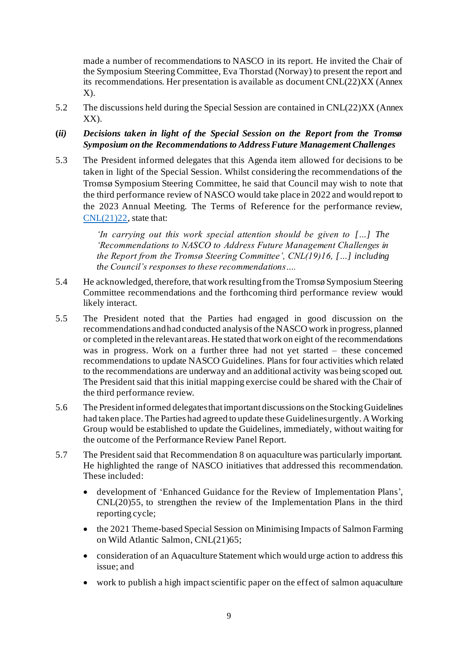made a number of recommendations to NASCO in its report. He invited the Chair of the Symposium Steering Committee, Eva Thorstad (Norway) to present the report and its recommendations. Her presentation is available as document CNL(22)XX (Annex X).

- 5.2 The discussions held during the Special Session are contained in CNL(22)XX (Annex XX).
- **(***ii) Decisions taken in light of the Special Session on the Report from the Tromsø Symposium on the Recommendations to Address Future Management Challenges*
- 5.3 The President informed delegates that this Agenda item allowed for decisions to be taken in light of the Special Session. Whilst considering the recommendations of the Tromsø Symposium Steering Committee, he said that Council may wish to note that the third performance review of NASCO would take place in 2022 and would report to the 2023 Annual Meeting. The Terms of Reference for the performance review,  $CNL(21)22$ , state that:

*'In carrying out this work special attention should be given to […] The 'Recommendations to NASCO to Address Future Management Challenges in the Report from the Tromsø Steering Committee', CNL(19)16, […] including the Council's responses to these recommendations….*

- 5.4 He acknowledged, therefore, that work resulting from the Tromsø Symposium Steering Committee recommendations and the forthcoming third performance review would likely interact.
- 5.5 The President noted that the Parties had engaged in good discussion on the recommendations and had conducted analysis of the NASCO work in progress, planned or completed in the relevant areas. He stated that work on eight of the recommendations was in progress. Work on a further three had not yet started – these concerned recommendations to update NASCO Guidelines. Plans for four activities which related to the recommendations are underway and an additional activity was being scoped out. The President said that this initial mapping exercise could be shared with the Chair of the third performance review.
- 5.6 The President informed delegates that important discussions on the Stocking Guidelines had taken place. The Parties had agreed to update these Guidelinesurgently. A Working Group would be established to update the Guidelines, immediately, without waiting for the outcome of the Performance Review Panel Report.
- 5.7 The President said that Recommendation 8 on aquaculture was particularly important. He highlighted the range of NASCO initiatives that addressed this recommendation. These included:
	- development of 'Enhanced Guidance for the Review of Implementation Plans', CNL(20)55, to strengthen the review of the Implementation Plans in the third reporting cycle;
	- the 2021 Theme-based Special Session on Minimising Impacts of Salmon Farming on Wild Atlantic Salmon, CNL(21)65;
	- consideration of an Aquaculture Statement which would urge action to address this issue; and
	- work to publish a high impact scientific paper on the effect of salmon aquaculture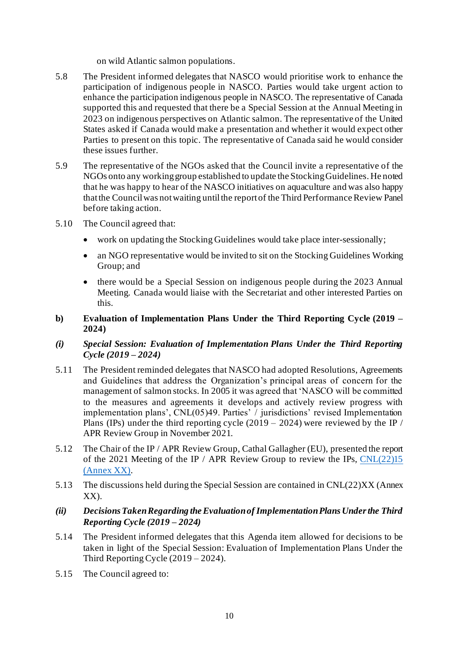on wild Atlantic salmon populations.

- 5.8 The President informed delegates that NASCO would prioritise work to enhance the participation of indigenous people in NASCO. Parties would take urgent action to enhance the participation indigenous people in NASCO. The representative of Canada supported this and requested that there be a Special Session at the Annual Meeting in 2023 on indigenous perspectives on Atlantic salmon. The representative of the United States asked if Canada would make a presentation and whether it would expect other Parties to present on this topic. The representative of Canada said he would consider these issues further.
- 5.9 The representative of the NGOs asked that the Council invite a representative of the NGOs onto any working group established to update the Stocking Guidelines. He noted that he was happy to hear of the NASCO initiatives on aquaculture and was also happy that the Council was not waiting until the report of the Third Performance Review Panel before taking action.
- 5.10 The Council agreed that:
	- work on updating the Stocking Guidelines would take place inter-sessionally;
	- an NGO representative would be invited to sit on the Stocking Guidelines Working Group; and
	- there would be a Special Session on indigenous people during the 2023 Annual Meeting. Canada would liaise with the Secretariat and other interested Parties on this.
- **b) Evaluation of Implementation Plans Under the Third Reporting Cycle (2019 – 2024)**

#### *(i) Special Session: Evaluation of Implementation Plans Under the Third Reporting Cycle (2019 – 2024)*

- 5.11 The President reminded delegates that NASCO had adopted Resolutions, Agreements and Guidelines that address the Organization's principal areas of concern for the management of salmon stocks. In 2005 it was agreed that 'NASCO will be committed to the measures and agreements it develops and actively review progress with implementation plans', CNL(05)49. Parties' / jurisdictions' revised Implementation Plans (IPs) under the third reporting cycle (2019 – 2024) were reviewed by the IP / APR Review Group in November 2021.
- 5.12 The Chair of the IP / APR Review Group, Cathal Gallagher (EU), presented the report of the 2021 Meeting of the IP / APR Review Group to review the IPs, [CNL\(22\)15](https://nasco.int/?post_type=document&p=17971&preview=true) (Annex XX).
- 5.13 The discussions held during the Special Session are contained in CNL(22)XX (Annex XX).
- *(ii) Decisions Taken Regarding the Evaluation of Implementation Plans Under the Third Reporting Cycle (2019 – 2024)*
- 5.14 The President informed delegates that this Agenda item allowed for decisions to be taken in light of the Special Session: Evaluation of Implementation Plans Under the Third Reporting Cycle (2019 – 2024).
- 5.15 The Council agreed to: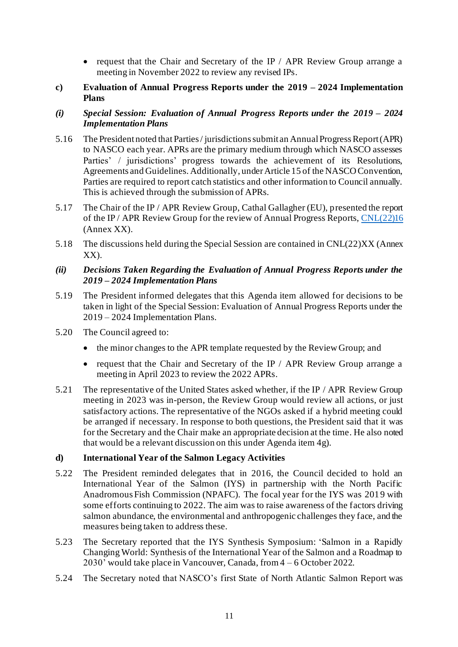- request that the Chair and Secretary of the IP / APR Review Group arrange a meeting in November 2022 to review any revised IPs.
- **c) Evaluation of Annual Progress Reports under the 2019 – 2024 Implementation Plans**

#### *(i) Special Session: Evaluation of Annual Progress Reports under the 2019 – 2024 Implementation Plans*

- 5.16 The President noted that Parties / jurisdictions submit an Annual Progress Report (APR) to NASCO each year. APRs are the primary medium through which NASCO assesses Parties' / jurisdictions' progress towards the achievement of its Resolutions, Agreements and Guidelines. Additionally, under Article 15 of the NASCO Convention, Parties are required to report catch statistics and other information to Council annually. This is achieved through the submission of APRs.
- 5.17 The Chair of the IP / APR Review Group, Cathal Gallagher (EU), presented the report of the IP / APR Review Group for the review of Annual Progress Reports[, CNL\(22\)16](https://nasco.int/wp-content/uploads/2022/05/CNL2216_Report-of-the-Meeting-of-the-IP_APR-Review-Group-for-the-Review-of-Annual-Progress-Reports.pdf) (Annex XX).
- 5.18 The discussions held during the Special Session are contained in CNL(22)XX (Annex XX).
- *(ii) Decisions Taken Regarding the Evaluation of Annual Progress Reports under the 2019 – 2024 Implementation Plans*
- 5.19 The President informed delegates that this Agenda item allowed for decisions to be taken in light of the Special Session: Evaluation of Annual Progress Reports under the 2019 – 2024 Implementation Plans.
- 5.20 The Council agreed to:
	- the minor changes to the APR template requested by the Review Group; and
	- request that the Chair and Secretary of the IP / APR Review Group arrange a meeting in April 2023 to review the 2022 APRs.
- 5.21 The representative of the United States asked whether, if the IP / APR Review Group meeting in 2023 was in-person, the Review Group would review all actions, or just satisfactory actions. The representative of the NGOs asked if a hybrid meeting could be arranged if necessary. In response to both questions, the President said that it was for the Secretary and the Chair make an appropriate decision at the time. He also noted that would be a relevant discussion on this under Agenda item 4g).

#### **d) International Year of the Salmon Legacy Activities**

- 5.22 The President reminded delegates that in 2016, the Council decided to hold an International Year of the Salmon (IYS) in partnership with the North Pacific Anadromous Fish Commission (NPAFC). The focal year for the IYS was 2019 with some efforts continuing to 2022. The aim was to raise awareness of the factors driving salmon abundance, the environmental and anthropogenic challenges they face, and the measures being taken to address these.
- 5.23 The Secretary reported that the IYS Synthesis Symposium: 'Salmon in a Rapidly Changing World: Synthesis of the International Year of the Salmon and a Roadmap to 2030' would take place in Vancouver, Canada, from 4 – 6 October 2022.
- 5.24 The Secretary noted that NASCO's first State of North Atlantic Salmon Report was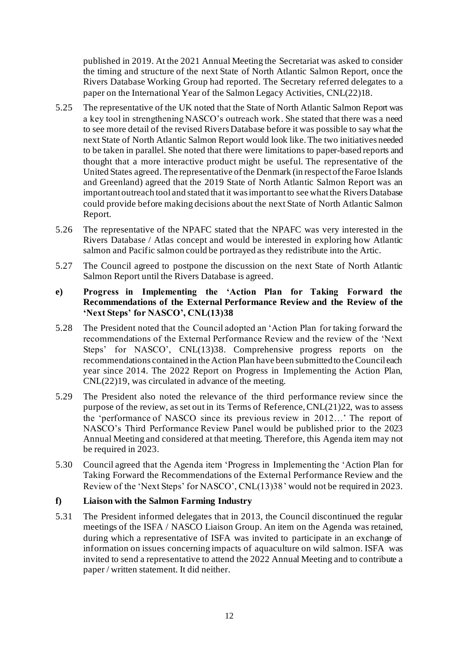published in 2019. At the 2021 Annual Meeting the Secretariat was asked to consider the timing and structure of the next State of North Atlantic Salmon Report, once the Rivers Database Working Group had reported. The Secretary referred delegates to a paper on the International Year of the Salmon Legacy Activities, CNL(22)18.

- 5.25 The representative of the UK noted that the State of North Atlantic Salmon Report was a key tool in strengthening NASCO's outreach work. She stated that there was a need to see more detail of the revised Rivers Database before it was possible to say what the next State of North Atlantic Salmon Report would look like. The two initiatives needed to be taken in parallel. She noted that there were limitations to paper-based reports and thought that a more interactive product might be useful. The representative of the United States agreed. The representative of the Denmark (in respect of the Faroe Islands and Greenland) agreed that the 2019 State of North Atlantic Salmon Report was an important outreach tool and stated that it was important to see what the Rivers Database could provide before making decisions about the next State of North Atlantic Salmon Report.
- 5.26 The representative of the NPAFC stated that the NPAFC was very interested in the Rivers Database / Atlas concept and would be interested in exploring how Atlantic salmon and Pacific salmon could be portrayed as they redistribute into the Artic.
- 5.27 The Council agreed to postpone the discussion on the next State of North Atlantic Salmon Report until the Rivers Database is agreed.
- **e) Progress in Implementing the 'Action Plan for Taking Forward the Recommendations of the External Performance Review and the Review of the 'Next Steps' for NASCO', CNL(13)38**
- 5.28 The President noted that the Council adopted an 'Action Plan for taking forward the recommendations of the External Performance Review and the review of the 'Next Steps' for NASCO', CNL(13)38. Comprehensive progress reports on the recommendations contained in the Action Plan have been submitted to the Council each year since 2014. The 2022 Report on Progress in Implementing the Action Plan, CNL(22)19, was circulated in advance of the meeting.
- 5.29 The President also noted the relevance of the third performance review since the purpose of the review, as set out in its Terms of Reference, CNL(21)22, was to assess the 'performance of NASCO since its previous review in 2012…' The report of NASCO's Third Performance Review Panel would be published prior to the 2023 Annual Meeting and considered at that meeting. Therefore, this Agenda item may not be required in 2023.
- 5.30 Council agreed that the Agenda item 'Progress in Implementing the 'Action Plan for Taking Forward the Recommendations of the External Performance Review and the Review of the 'Next Steps' for NASCO', CNL(13)38' would not be required in 2023.

### **f) Liaison with the Salmon Farming Industry**

5.31 The President informed delegates that in 2013, the Council discontinued the regular meetings of the ISFA / NASCO Liaison Group. An item on the Agenda was retained, during which a representative of ISFA was invited to participate in an exchange of information on issues concerning impacts of aquaculture on wild salmon. ISFA was invited to send a representative to attend the 2022 Annual Meeting and to contribute a paper / written statement. It did neither.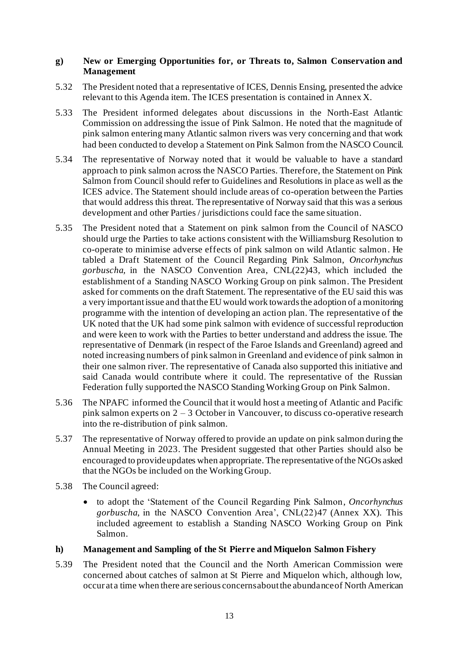#### **g) New or Emerging Opportunities for, or Threats to, Salmon Conservation and Management**

- 5.32 The President noted that a representative of ICES, Dennis Ensing, presented the advice relevant to this Agenda item. The ICES presentation is contained in Annex X.
- 5.33 The President informed delegates about discussions in the North-East Atlantic Commission on addressing the issue of Pink Salmon. He noted that the magnitude of pink salmon entering many Atlantic salmon rivers was very concerning and that work had been conducted to develop a Statement on Pink Salmon from the NASCO Council.
- 5.34 The representative of Norway noted that it would be valuable to have a standard approach to pink salmon across the NASCO Parties. Therefore, the Statement on Pink Salmon from Council should refer to Guidelines and Resolutions in place as well as the ICES advice. The Statement should include areas of co-operation between the Parties that would address this threat. The representative of Norway said that this was a serious development and other Parties / jurisdictions could face the same situation.
- 5.35 The President noted that a Statement on pink salmon from the Council of NASCO should urge the Parties to take actions consistent with the Williamsburg Resolution to co-operate to minimise adverse effects of pink salmon on wild Atlantic salmon. He tabled a Draft Statement of the Council Regarding Pink Salmon, *Oncorhynchus gorbuscha,* in the NASCO Convention Area, CNL(22)43, which included the establishment of a Standing NASCO Working Group on pink salmon. The President asked for comments on the draft Statement. The representative of the EU said this was a very important issue and that the EU would work towards the adoption of amonitoring programme with the intention of developing an action plan. The representative of the UK noted that the UK had some pink salmon with evidence of successful reproduction and were keen to work with the Parties to better understand and address the issue. The representative of Denmark (in respect of the Faroe Islands and Greenland) agreed and noted increasing numbers of pink salmon in Greenland and evidence of pink salmon in their one salmon river. The representative of Canada also supported this initiative and said Canada would contribute where it could. The representative of the Russian Federation fully supported the NASCO Standing Working Group on Pink Salmon.
- 5.36 The NPAFC informed the Council that it would host a meeting of Atlantic and Pacific pink salmon experts on 2 – 3 October in Vancouver, to discuss co-operative research into the re-distribution of pink salmon.
- 5.37 The representative of Norway offered to provide an update on pink salmon during the Annual Meeting in 2023. The President suggested that other Parties should also be encouraged to provide updates when appropriate. The representative of the NGOs asked that the NGOs be included on the Working Group.
- 5.38 The Council agreed:
	- to adopt the 'Statement of the Council Regarding Pink Salmon, *Oncorhynchus gorbuscha*, in the NASCO Convention Area', CNL(22)47 (Annex XX). This included agreement to establish a Standing NASCO Working Group on Pink Salmon.

#### **h) Management and Sampling of the St Pierre and Miquelon Salmon Fishery**

5.39 The President noted that the Council and the North American Commission were concerned about catches of salmon at St Pierre and Miquelon which, although low, occur at a time when there are serious concerns about the abundance of North American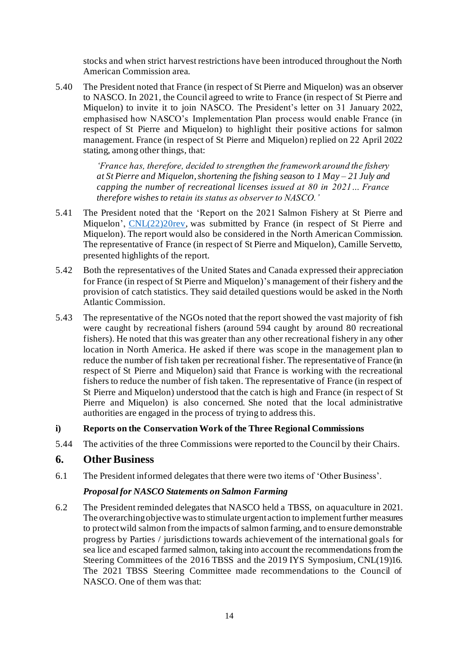stocks and when strict harvest restrictions have been introduced throughout the North American Commission area.

5.40 The President noted that France (in respect of St Pierre and Miquelon) was an observer to NASCO. In 2021, the Council agreed to write to France (in respect of St Pierre and Miquelon) to invite it to join NASCO. The President's letter on 31 January 2022, emphasised how NASCO's Implementation Plan process would enable France (in respect of St Pierre and Miquelon) to highlight their positive actions for salmon management. France (in respect of St Pierre and Miquelon) replied on 22 April 2022 stating, among other things, that:

> *'France has, therefore, decided to strengthen the framework around the fishery at St Pierre and Miquelon, shortening the fishing season to 1 May – 21 July and capping the number of recreational licenses issued at 80 in 2021… France therefore wishes to retain its status as observer to NASCO.'*

- 5.41 The President noted that the 'Report on the 2021 Salmon Fishery at St Pierre and Miquelon', [CNL\(22\)20rev](https://nasco.int/wp-content/uploads/2022/05/CNL2220rev_Report-on-the-2021-Salmon-Fishery-at-St-Pierre-and-Miquelon.pdf), was submitted by France (in respect of St Pierre and Miquelon). The report would also be considered in the North American Commission. The representative of France (in respect of St Pierre and Miquelon), Camille Servetto, presented highlights of the report.
- 5.42 Both the representatives of the United States and Canada expressed their appreciation for France (in respect of St Pierre and Miquelon)'s management of their fishery and the provision of catch statistics. They said detailed questions would be asked in the North Atlantic Commission.
- 5.43 The representative of the NGOs noted that the report showed the vast majority of fish were caught by recreational fishers (around 594 caught by around 80 recreational fishers). He noted that this was greater than any other recreational fishery in any other location in North America. He asked if there was scope in the management plan to reduce the number of fish taken per recreational fisher. The representative of France (in respect of St Pierre and Miquelon) said that France is working with the recreational fishers to reduce the number of fish taken. The representative of France (in respect of St Pierre and Miquelon) understood that the catch is high and France (in respect of St Pierre and Miquelon) is also concerned. She noted that the local administrative authorities are engaged in the process of trying to address this.

#### **i) Reports on the Conservation Work of the Three Regional Commissions**

5.44 The activities of the three Commissions were reported to the Council by their Chairs.

#### **6. Other Business**

6.1 The President informed delegates that there were two items of 'Other Business'.

#### *Proposal for NASCO Statements on Salmon Farming*

6.2 The President reminded delegates that NASCO held a TBSS, on aquaculture in 2021. The overarching objective was to stimulate urgent action to implement further measures to protect wild salmon from the impacts of salmon farming, and to ensure demonstrable progress by Parties / jurisdictions towards achievement of the international goals for sea lice and escaped farmed salmon, taking into account the recommendations from the Steering Committees of the 2016 TBSS and the 2019 IYS Symposium, CNL(19)16. The 2021 TBSS Steering Committee made recommendations to the Council of NASCO. One of them was that: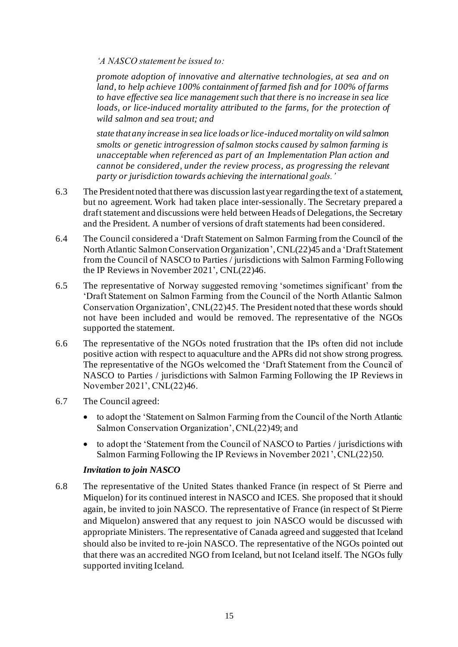*'A NASCO statement be issued to:* 

*promote adoption of innovative and alternative technologies, at sea and on land, to help achieve 100% containment of farmed fish and for 100% of farms to have effective sea lice management such that there is no increase in sea lice loads, or lice-induced mortality attributed to the farms, for the protection of wild salmon and sea trout; and*

*state that any increase in sea lice loads or lice-induced mortality on wild salmon smolts or genetic introgression of salmon stocks caused by salmon farming is unacceptable when referenced as part of an Implementation Plan action and cannot be considered, under the review process, as progressing the relevant party or jurisdiction towards achieving the international goals.'*

- 6.3 The President noted that there was discussion last year regardingthe text of a statement, but no agreement. Work had taken place inter-sessionally. The Secretary prepared a draft statement and discussions were held between Heads of Delegations, the Secretary and the President. A number of versions of draft statements had been considered.
- 6.4 The Council considered a 'Draft Statement on Salmon Farming from the Council of the North Atlantic Salmon Conservation Organization', CNL(22)45 and a 'Draft Statement from the Council of NASCO to Parties / jurisdictions with Salmon Farming Following the IP Reviews in November 2021', CNL(22)46.
- 6.5 The representative of Norway suggested removing 'sometimes significant' from the 'Draft Statement on Salmon Farming from the Council of the North Atlantic Salmon Conservation Organization', CNL(22)45. The President noted that these words should not have been included and would be removed. The representative of the NGOs supported the statement.
- 6.6 The representative of the NGOs noted frustration that the IPs often did not include positive action with respect to aquaculture and the APRs did not show strong progress. The representative of the NGOs welcomed the 'Draft Statement from the Council of NASCO to Parties / jurisdictions with Salmon Farming Following the IP Reviews in November 2021', CNL(22)46.
- 6.7 The Council agreed:
	- to adopt the 'Statement on Salmon Farming from the Council of the North Atlantic Salmon Conservation Organization', CNL(22)49; and
	- to adopt the 'Statement from the Council of NASCO to Parties / jurisdictions with Salmon Farming Following the IP Reviews in November 2021', CNL(22)50.

#### *Invitation to join NASCO*

6.8 The representative of the United States thanked France (in respect of St Pierre and Miquelon) for its continued interest in NASCO and ICES. She proposed that it should again, be invited to join NASCO. The representative of France (in respect of St Pierre and Miquelon) answered that any request to join NASCO would be discussed with appropriate Ministers. The representative of Canada agreed and suggested that Iceland should also be invited to re-join NASCO. The representative of the NGOs pointed out that there was an accredited NGO from Iceland, but not Iceland itself. The NGOs fully supported inviting Iceland.